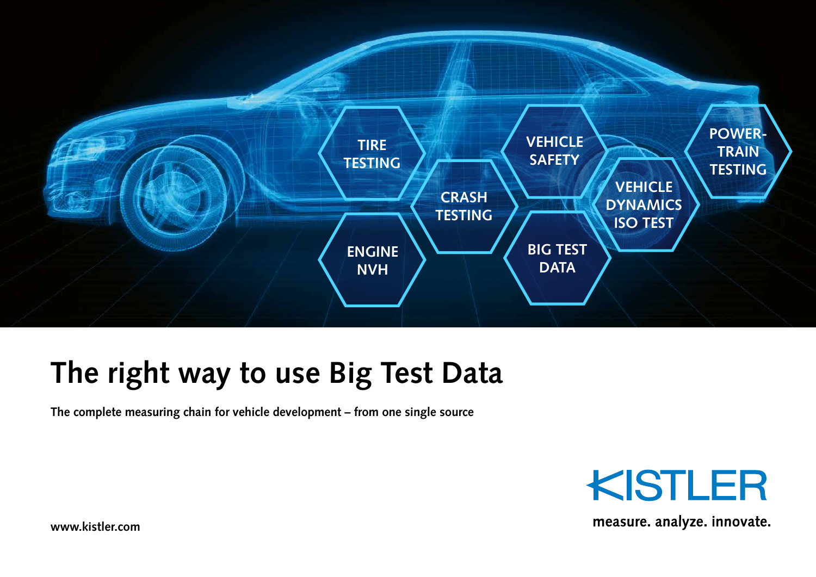

### **The right way to use Big Test Data**

**The complete measuring chain for vehicle development – from one single source**



measure. analyze. innovate.

**www.kistler.com**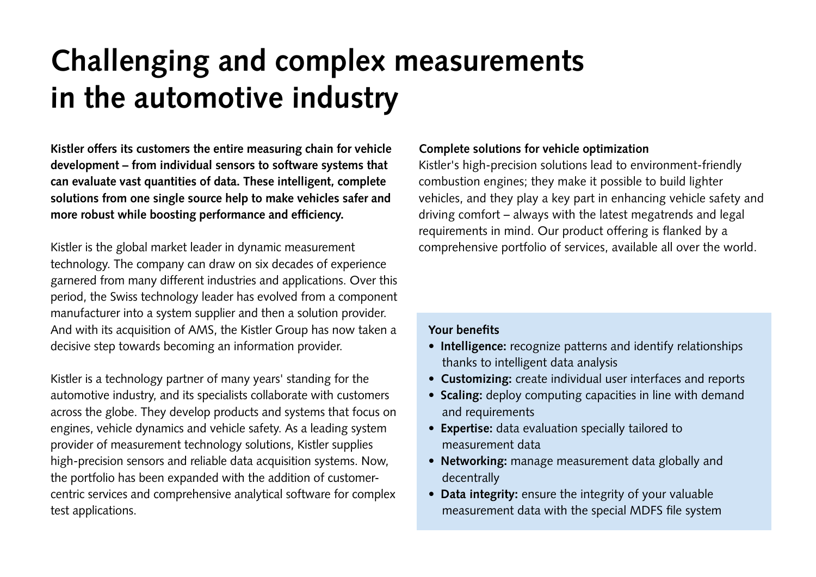# **Challenging and complex measurements in the automotive industry**

**Kistler offers its customers the entire measuring chain for vehicle development – from individual sensors to software systems that can evaluate vast quantities of data. These intelligent, complete solutions from one single source help to make vehicles safer and more robust while boosting performance and efficiency.**

Kistler is the global market leader in dynamic measurement technology. The company can draw on six decades of experience garnered from many different industries and applications. Over this period, the Swiss technology leader has evolved from a component manufacturer into a system supplier and then a solution provider. And with its acquisition of AMS, the Kistler Group has now taken a decisive step towards becoming an information provider.

Kistler is a technology partner of many years' standing for the automotive industry, and its specialists collaborate with customers across the globe. They develop products and systems that focus on engines, vehicle dynamics and vehicle safety. As a leading system provider of measurement technology solutions, Kistler supplies high-precision sensors and reliable data acquisition systems. Now, the portfolio has been expanded with the addition of customercentric services and comprehensive analytical software for complex test applications.

#### **Complete solutions for vehicle optimization**

Kistler's high-precision solutions lead to environment-friendly combustion engines; they make it possible to build lighter vehicles, and they play a key part in enhancing vehicle safety and driving comfort – always with the latest megatrends and legal requirements in mind. Our product offering is flanked by a comprehensive portfolio of services, available all over the world.

#### **Your benefits**

- **Intelligence:** recognize patterns and identify relationships thanks to intelligent data analysis
- **Customizing:** create individual user interfaces and reports
- **Scaling:** deploy computing capacities in line with demand and requirements
- **Expertise:** data evaluation specially tailored to measurement data
- **Networking:** manage measurement data globally and decentrally
- **Data integrity:** ensure the integrity of your valuable measurement data with the special MDFS file system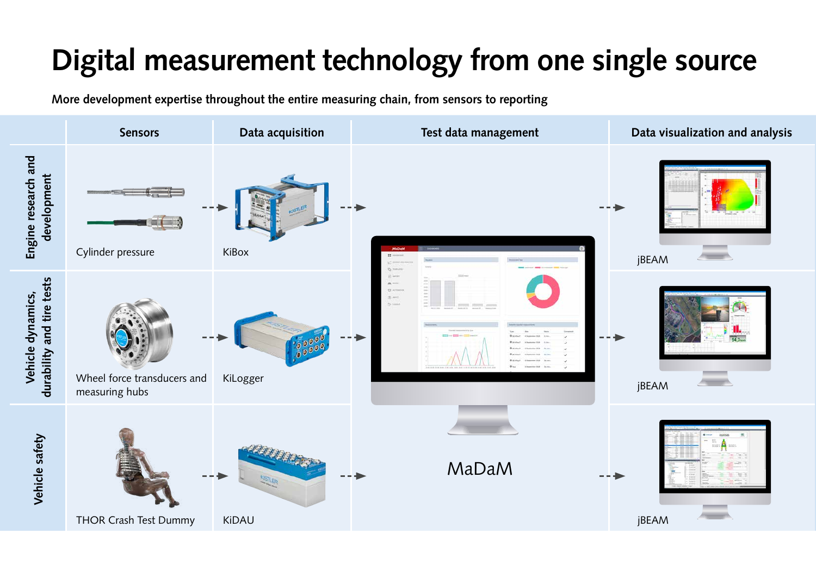# **Digital measurement technology from one single source**

**More development expertise throughout the entire measuring chain, from sensors to reporting**